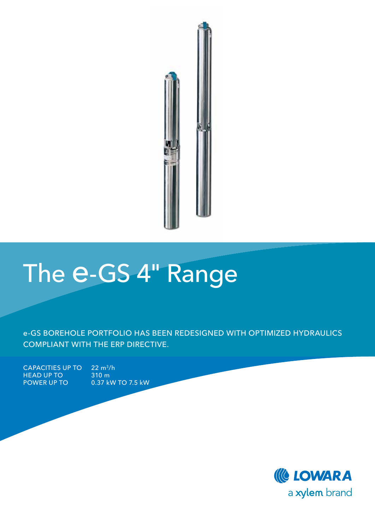

# The e-GS 4" Range

e-GS BOREHOLE PORTFOLIO HAS BEEN REDESIGNED WITH OPTIMIZED HYDRAULICS COMPLIANT WITH THE ERP DIRECTIVE.

 $CAPACITIES UP TO 22 m<sup>3</sup>/h$ HEAD UP TO 310 m<br>POWER UP TO 0.37 kV

0.37 kW TO 7.5 kW

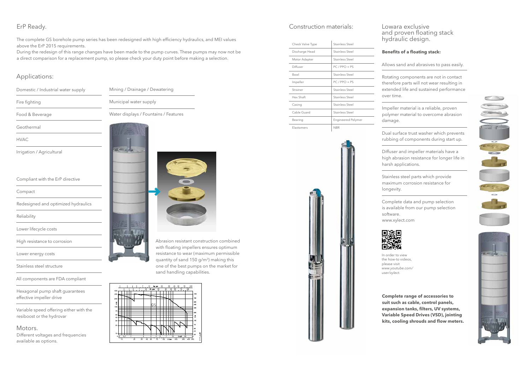### Applications:

Lowara exclusive and proven floating stack hydraulic design.

### **Benefits of a floating stack:**

Allows sand and abrasives to pass easily.

Rotating components are not in contact therefore parts will not wear resulting in extended life and sustained performance over time.

Impeller material is a reliable, proven polymer material to overcome abrasion damage.

Dual surface trust washer which prevents rubbing of components during start up.

Diffuser and impeller materials have a high abrasion resistance for longer life in harsh applications.

Stainless steel parts which provide maximum corrosion resistance for longevity.

tant construction combined npellers ensures optimum rear (maximum permissible quantity of sand 150 g/m<sup>3</sup>) making this one of the best pumps on the market for sand handling capabilities.



Complete data and pump selection is available from our pump selection



software. www.xylect.com



| Domestic / Industrial water supply  | Mining / Drainage / Dewatering        |
|-------------------------------------|---------------------------------------|
| Fire fighting                       | Municipal water supply                |
| Food & Beverage                     | Water displays / Fountains / Features |
| Geothermal                          |                                       |
| <b>HVAC</b>                         |                                       |
| Irrigation / Agricultural           |                                       |
|                                     |                                       |
| Compliant with the ErP directive    |                                       |
| Compact                             |                                       |
| Redesigned and optimized hydraulics |                                       |
| Reliability                         |                                       |
| Lower lifecycle costs               |                                       |
| High resistance to corrosion        | Abrasion resista                      |
| Lower energy costs                  | with floating im<br>resistance to w   |
| Stainless steel structure           | quantity of san<br>one of the best    |

**Complete range of accessories to suit such as cable, control panels, expansion tanks, filters, UV systems, Variable Speed Drives (VSD), jointing kits, cooling shrouds and flow meters.**





#### Construction materials:

| Check Valve Type | Stainless Steel           |
|------------------|---------------------------|
| Discharge Head   | Stainless Steel           |
| Motor Adapter    | Stainless Steel           |
| Diffuser         | $PC$ / PPO + PS           |
| <b>Bowl</b>      | Stainless Steel           |
| Impeller         | $PC$ / PPO + PS           |
| Strainer         | Stainless Steel           |
| Hex Shaft        | Stainless Steel           |
| Casing           | Stainless Steel           |
| Cable Guard      | Stainless Steel           |
| Bearing          | <b>Engineered Polymer</b> |
| Elastomers       | <b>NBR</b>                |



All components are FDA compliant

Hexagonal pump shaft guarantees effective impeller drive

Variable speed offering either with the resiboost or the hydrovar

#### Motors.

Different voltages and frequencies available as options.

| isplays / Fountains / Features |
|--------------------------------|
|                                |
|                                |
|                                |

## ErP Ready.

The complete GS borehole pump series has been redesigned with high efficiency hydraulics, and MEI values above the ErP 2015 requirements.

During the redesign of this range changes have been made to the pump curves. These pumps may now not be a direct comparison for a replacement pump, so please check your duty point before making a selection.

> In order to view the how-to videos, please visit www.youtube.com/ user/xylect.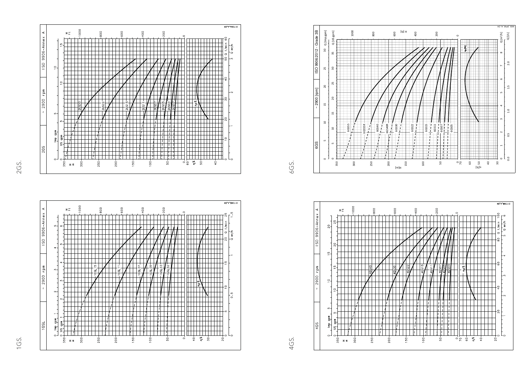

1GS.







2GS.

6GS.

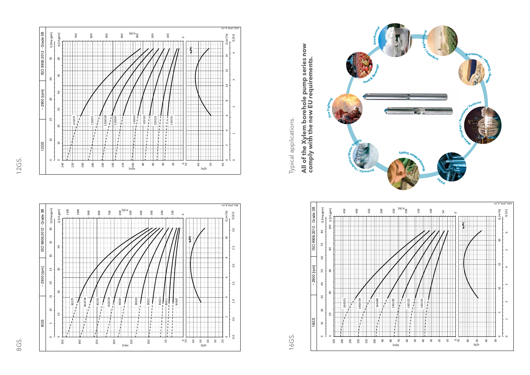



8GS.



12GS.

Typical applications.

Typical applications.

**All of the Xylem borehole pump series now** 

**comply with the new EU requirements.**